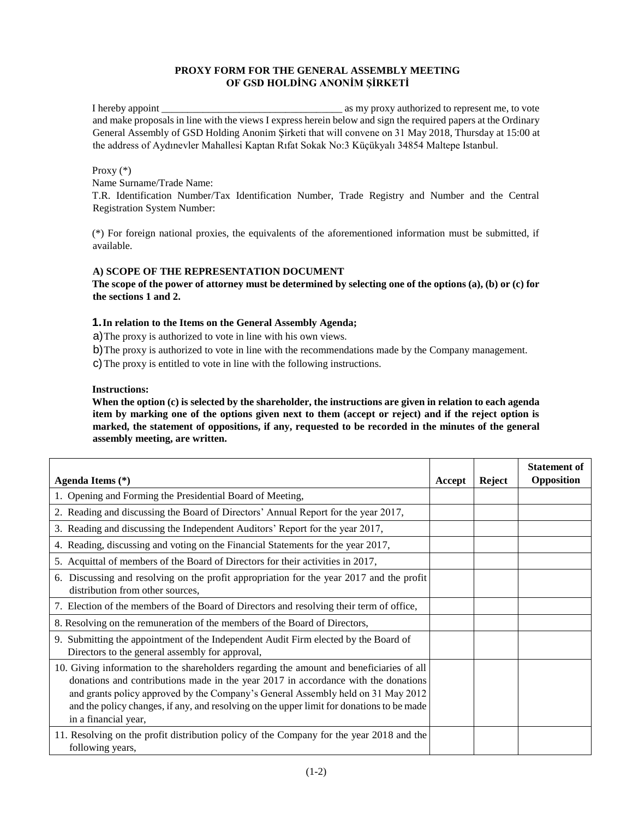# **PROXY FORM FOR THE GENERAL ASSEMBLY MEETING OF GSD HOLDİNG ANONİM ŞİRKETİ**

I hereby appoint \_\_\_\_\_\_\_\_\_\_\_\_\_\_\_\_\_\_\_\_\_\_\_\_\_\_\_\_\_\_\_\_\_\_\_ as my proxy authorized to represent me, to vote and make proposals in line with the views I express herein below and sign the required papers at the Ordinary General Assembly of GSD Holding Anonim Şirketi that will convene on 31 May 2018, Thursday at 15:00 at the address of Aydınevler Mahallesi Kaptan Rıfat Sokak No:3 Küçükyalı 34854 Maltepe Istanbul.

## Proxy (\*)

Name Surname/Trade Name:

T.R. Identification Number/Tax Identification Number, Trade Registry and Number and the Central Registration System Number:

(\*) For foreign national proxies, the equivalents of the aforementioned information must be submitted, if available.

## **A) SCOPE OF THE REPRESENTATION DOCUMENT**

**The scope of the power of attorney must be determined by selecting one of the options (a), (b) or (c) for the sections 1 and 2.** 

# **1.In relation to the Items on the General Assembly Agenda;**

a)The proxy is authorized to vote in line with his own views.

b)The proxy is authorized to vote in line with the recommendations made by the Company management.

c)The proxy is entitled to vote in line with the following instructions.

#### **Instructions:**

**When the option (c) is selected by the shareholder, the instructions are given in relation to each agenda item by marking one of the options given next to them (accept or reject) and if the reject option is marked, the statement of oppositions, if any, requested to be recorded in the minutes of the general assembly meeting, are written.** 

| Agenda Items (*)                                                                                                                                                                                                                                                                                                                                                                        | Accept | Reject | <b>Statement of</b><br>Opposition |
|-----------------------------------------------------------------------------------------------------------------------------------------------------------------------------------------------------------------------------------------------------------------------------------------------------------------------------------------------------------------------------------------|--------|--------|-----------------------------------|
| 1. Opening and Forming the Presidential Board of Meeting,                                                                                                                                                                                                                                                                                                                               |        |        |                                   |
| 2. Reading and discussing the Board of Directors' Annual Report for the year 2017,                                                                                                                                                                                                                                                                                                      |        |        |                                   |
| 3. Reading and discussing the Independent Auditors' Report for the year 2017,                                                                                                                                                                                                                                                                                                           |        |        |                                   |
| 4. Reading, discussing and voting on the Financial Statements for the year 2017,                                                                                                                                                                                                                                                                                                        |        |        |                                   |
| 5. Acquittal of members of the Board of Directors for their activities in 2017,                                                                                                                                                                                                                                                                                                         |        |        |                                   |
| 6. Discussing and resolving on the profit appropriation for the year 2017 and the profit<br>distribution from other sources,                                                                                                                                                                                                                                                            |        |        |                                   |
| 7. Election of the members of the Board of Directors and resolving their term of office,                                                                                                                                                                                                                                                                                                |        |        |                                   |
| 8. Resolving on the remuneration of the members of the Board of Directors,                                                                                                                                                                                                                                                                                                              |        |        |                                   |
| 9. Submitting the appointment of the Independent Audit Firm elected by the Board of<br>Directors to the general assembly for approval,                                                                                                                                                                                                                                                  |        |        |                                   |
| 10. Giving information to the shareholders regarding the amount and beneficiaries of all<br>donations and contributions made in the year 2017 in accordance with the donations<br>and grants policy approved by the Company's General Assembly held on 31 May 2012<br>and the policy changes, if any, and resolving on the upper limit for donations to be made<br>in a financial year, |        |        |                                   |
| 11. Resolving on the profit distribution policy of the Company for the year 2018 and the<br>following years,                                                                                                                                                                                                                                                                            |        |        |                                   |